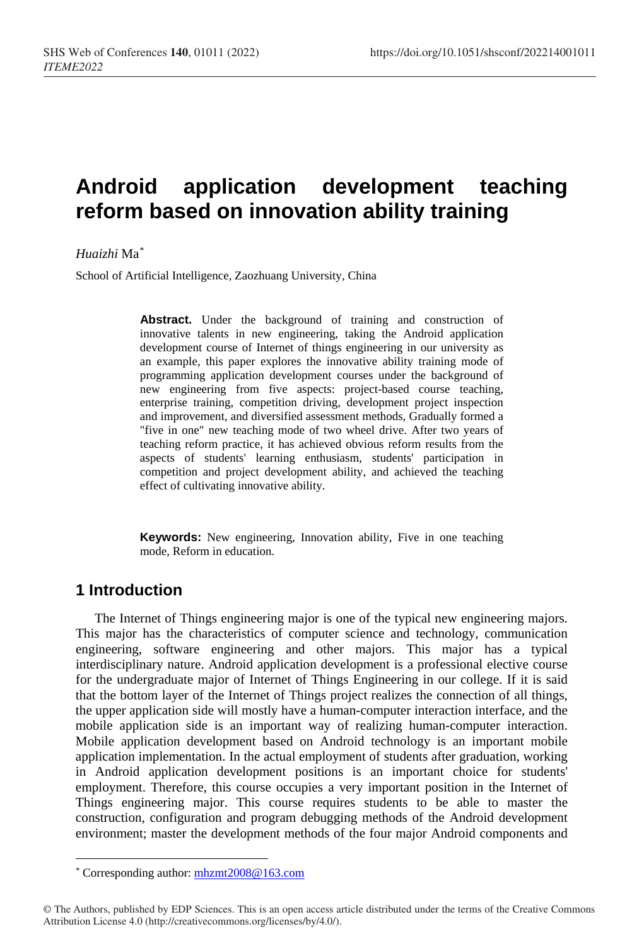# **Android application development teaching reform based on innovation ability training**

*Huaizhi* Ma[\\*](#page-0-0)

School of Artificial Intelligence, Zaozhuang University, China

**Abstract.** Under the background of training and construction of innovative talents in new engineering, taking the Android application development course of Internet of things engineering in our university as an example, this paper explores the innovative ability training mode of programming application development courses under the background of new engineering from five aspects: project-based course teaching, enterprise training, competition driving, development project inspection and improvement, and diversified assessment methods, Gradually formed a "five in one" new teaching mode of two wheel drive. After two years of teaching reform practice, it has achieved obvious reform results from the aspects of students' learning enthusiasm, students' participation in competition and project development ability, and achieved the teaching effect of cultivating innovative ability.

**Keywords:** New engineering, Innovation ability, Five in one teaching mode, Reform in education.

## **1 Introduction**

The Internet of Things engineering major is one of the typical new engineering majors. This major has the characteristics of computer science and technology, communication engineering, software engineering and other majors. This major has a typical interdisciplinary nature. Android application development is a professional elective course for the undergraduate major of Internet of Things Engineering in our college. If it is said that the bottom layer of the Internet of Things project realizes the connection of all things, the upper application side will mostly have a human-computer interaction interface, and the mobile application side is an important way of realizing human-computer interaction. Mobile application development based on Android technology is an important mobile application implementation. In the actual employment of students after graduation, working in Android application development positions is an important choice for students' employment. Therefore, this course occupies a very important position in the Internet of Things engineering major. This course requires students to be able to master the construction, configuration and program debugging methods of the Android development environment; master the development methods of the four major Android components and

 $\overline{a}$ \* Corresponding author[: mhzmt2008@163.com](mailto:mhzmt2008@163.com)

<span id="page-0-0"></span><sup>©</sup> The Authors, published by EDP Sciences. This is an open access article distributed under the terms of the Creative Commons Attribution License 4.0 (http://creativecommons.org/licenses/by/4.0/).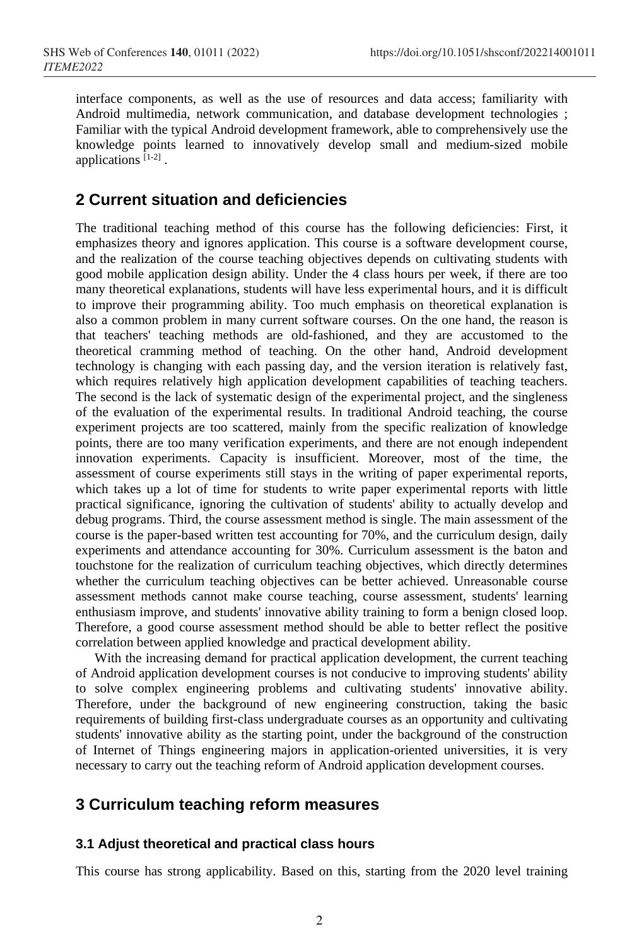interface components, as well as the use of resources and data access; familiarity with Android multimedia, network communication, and database development technologies ; Familiar with the typical Android development framework, able to comprehensively use the knowledge points learned to innovatively develop small and medium-sized mobile applications  $[1-2]$ .

## **2 Current situation and deficiencies**

The traditional teaching method of this course has the following deficiencies: First, it emphasizes theory and ignores application. This course is a software development course, and the realization of the course teaching objectives depends on cultivating students with good mobile application design ability. Under the 4 class hours per week, if there are too many theoretical explanations, students will have less experimental hours, and it is difficult to improve their programming ability. Too much emphasis on theoretical explanation is also a common problem in many current software courses. On the one hand, the reason is that teachers' teaching methods are old-fashioned, and they are accustomed to the theoretical cramming method of teaching. On the other hand, Android development technology is changing with each passing day, and the version iteration is relatively fast, which requires relatively high application development capabilities of teaching teachers. The second is the lack of systematic design of the experimental project, and the singleness of the evaluation of the experimental results. In traditional Android teaching, the course experiment projects are too scattered, mainly from the specific realization of knowledge points, there are too many verification experiments, and there are not enough independent innovation experiments. Capacity is insufficient. Moreover, most of the time, the assessment of course experiments still stays in the writing of paper experimental reports, which takes up a lot of time for students to write paper experimental reports with little practical significance, ignoring the cultivation of students' ability to actually develop and debug programs. Third, the course assessment method is single. The main assessment of the course is the paper-based written test accounting for 70%, and the curriculum design, daily experiments and attendance accounting for 30%. Curriculum assessment is the baton and touchstone for the realization of curriculum teaching objectives, which directly determines whether the curriculum teaching objectives can be better achieved. Unreasonable course assessment methods cannot make course teaching, course assessment, students' learning enthusiasm improve, and students' innovative ability training to form a benign closed loop. Therefore, a good course assessment method should be able to better reflect the positive correlation between applied knowledge and practical development ability.

With the increasing demand for practical application development, the current teaching of Android application development courses is not conducive to improving students' ability to solve complex engineering problems and cultivating students' innovative ability. Therefore, under the background of new engineering construction, taking the basic requirements of building first-class undergraduate courses as an opportunity and cultivating students' innovative ability as the starting point, under the background of the construction of Internet of Things engineering majors in application-oriented universities, it is very necessary to carry out the teaching reform of Android application development courses.

### **3 Curriculum teaching reform measures**

#### **3.1 Adjust theoretical and practical class hours**

This course has strong applicability. Based on this, starting from the 2020 level training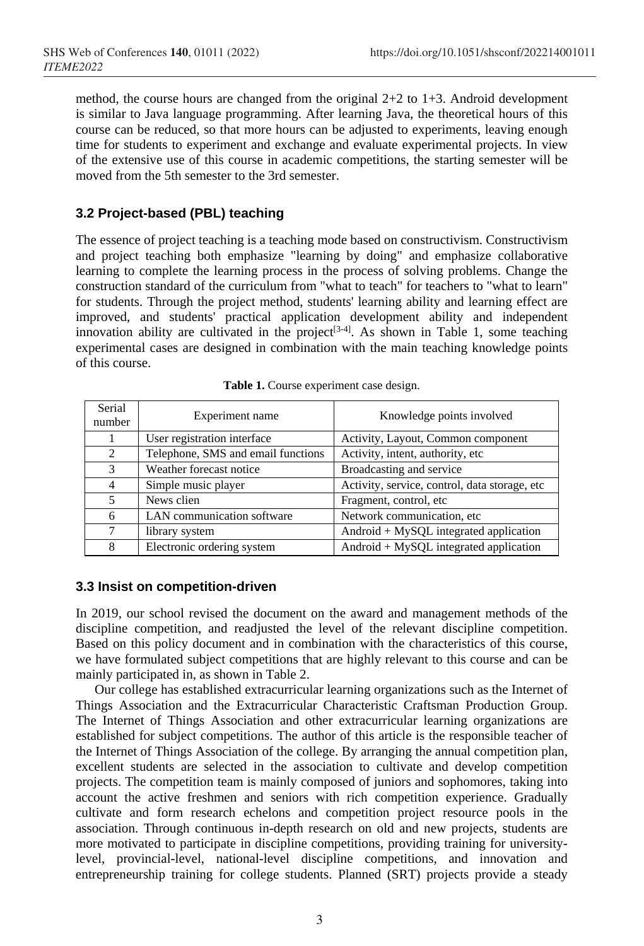method, the course hours are changed from the original  $2+2$  to  $1+3$ . Android development is similar to Java language programming. After learning Java, the theoretical hours of this course can be reduced, so that more hours can be adjusted to experiments, leaving enough time for students to experiment and exchange and evaluate experimental projects. In view of the extensive use of this course in academic competitions, the starting semester will be moved from the 5th semester to the 3rd semester.

#### **3.2 Project-based (PBL) teaching**

The essence of project teaching is a teaching mode based on constructivism. Constructivism and project teaching both emphasize "learning by doing" and emphasize collaborative learning to complete the learning process in the process of solving problems. Change the construction standard of the curriculum from "what to teach" for teachers to "what to learn" for students. Through the project method, students' learning ability and learning effect are improved, and students' practical application development ability and independent innovation ability are cultivated in the project<sup>[3-4]</sup>. As shown in Table 1, some teaching experimental cases are designed in combination with the main teaching knowledge points of this course.

| Serial<br>number | Experiment name                    | Knowledge points involved                     |
|------------------|------------------------------------|-----------------------------------------------|
|                  | User registration interface        | Activity, Layout, Common component            |
| $\mathfrak{D}$   | Telephone, SMS and email functions | Activity, intent, authority, etc              |
| 3                | Weather forecast notice            | Broadcasting and service                      |
| 4                | Simple music player                | Activity, service, control, data storage, etc |
| 5                | News clien                         | Fragment, control, etc.                       |
| 6                | LAN communication software         | Network communication, etc                    |
| 7                | library system                     | $Android + MySQL$ integrated application      |
| 8                | Electronic ordering system         | $Android + MySQL$ integrated application      |

**Table 1.** Course experiment case design.

#### **3.3 Insist on competition-driven**

In 2019, our school revised the document on the award and management methods of the discipline competition, and readjusted the level of the relevant discipline competition. Based on this policy document and in combination with the characteristics of this course, we have formulated subject competitions that are highly relevant to this course and can be mainly participated in, as shown in Table 2.

Our college has established extracurricular learning organizations such as the Internet of Things Association and the Extracurricular Characteristic Craftsman Production Group. The Internet of Things Association and other extracurricular learning organizations are established for subject competitions. The author of this article is the responsible teacher of the Internet of Things Association of the college. By arranging the annual competition plan, excellent students are selected in the association to cultivate and develop competition projects. The competition team is mainly composed of juniors and sophomores, taking into account the active freshmen and seniors with rich competition experience. Gradually cultivate and form research echelons and competition project resource pools in the association. Through continuous in-depth research on old and new projects, students are more motivated to participate in discipline competitions, providing training for universitylevel, provincial-level, national-level discipline competitions, and innovation and entrepreneurship training for college students. Planned (SRT) projects provide a steady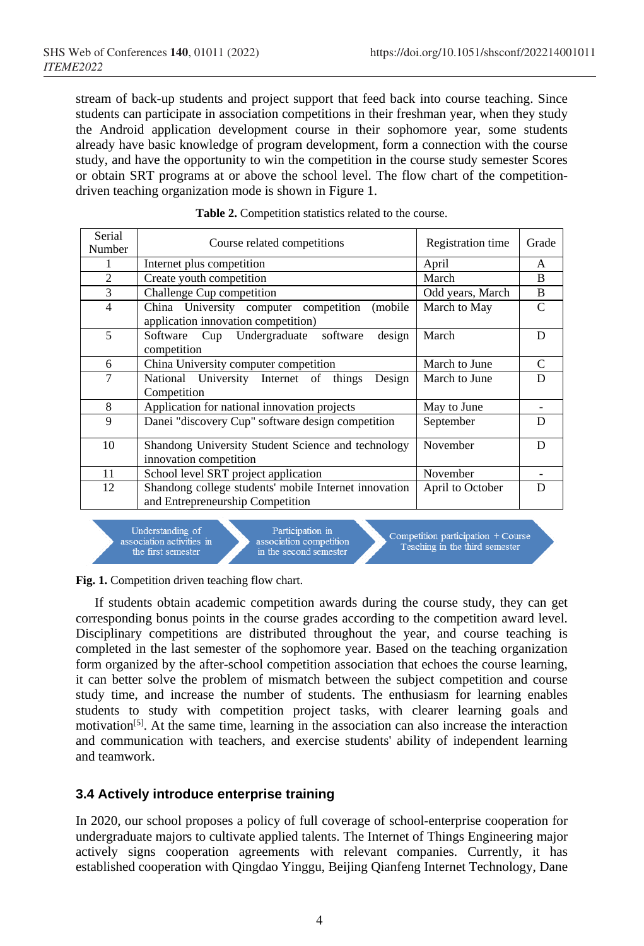stream of back-up students and project support that feed back into course teaching. Since students can participate in association competitions in their freshman year, when they study the Android application development course in their sophomore year, some students already have basic knowledge of program development, form a connection with the course study, and have the opportunity to win the competition in the course study semester Scores or obtain SRT programs at or above the school level. The flow chart of the competitiondriven teaching organization mode is shown in Figure 1.

| Serial<br>Number | Course related competitions                           | Registration time | Grade        |
|------------------|-------------------------------------------------------|-------------------|--------------|
| 1                | Internet plus competition                             | April             | A            |
| $\overline{2}$   | Create youth competition                              | March             | B            |
| 3                | Challenge Cup competition                             | Odd years, March  | B            |
| $\overline{4}$   | China University computer competition<br>(mobile)     | March to May      | $\mathsf{C}$ |
|                  | application innovation competition)                   |                   |              |
| 5                | Software Cup Undergraduate software<br>design         | March             | D            |
|                  | competition                                           |                   |              |
| 6                | China University computer competition                 | March to June     | $\mathsf{C}$ |
| 7                | National University Internet of things<br>Design      | March to June     | D            |
|                  | Competition                                           |                   |              |
| 8                | Application for national innovation projects          | May to June       |              |
| 9                | Danei "discovery Cup" software design competition     | September         | D            |
| 10               | Shandong University Student Science and technology    | November          | D            |
|                  | innovation competition                                |                   |              |
| 11               | School level SRT project application                  | November          |              |
| 12               | Shandong college students' mobile Internet innovation | April to October  | D            |
|                  | and Entrepreneurship Competition                      |                   |              |

|  |  |  |  |  | Table 2. Competition statistics related to the course. |
|--|--|--|--|--|--------------------------------------------------------|
|--|--|--|--|--|--------------------------------------------------------|

Understanding of association activities in the first semester

Participation in association competition in the second semester

Competition participation + Course Teaching in the third semester

Fig. 1. Competition driven teaching flow chart.

If students obtain academic competition awards during the course study, they can get corresponding bonus points in the course grades according to the competition award level. Disciplinary competitions are distributed throughout the year, and course teaching is completed in the last semester of the sophomore year. Based on the teaching organization form organized by the after-school competition association that echoes the course learning, it can better solve the problem of mismatch between the subject competition and course study time, and increase the number of students. The enthusiasm for learning enables students to study with competition project tasks, with clearer learning goals and motivation<sup>[5]</sup>. At the same time, learning in the association can also increase the interaction and communication with teachers, and exercise students' ability of independent learning and teamwork.

#### **3.4 Actively introduce enterprise training**

In 2020, our school proposes a policy of full coverage of school-enterprise cooperation for undergraduate majors to cultivate applied talents. The Internet of Things Engineering major actively signs cooperation agreements with relevant companies. Currently, it has established cooperation with Qingdao Yinggu, Beijing Qianfeng Internet Technology, Dane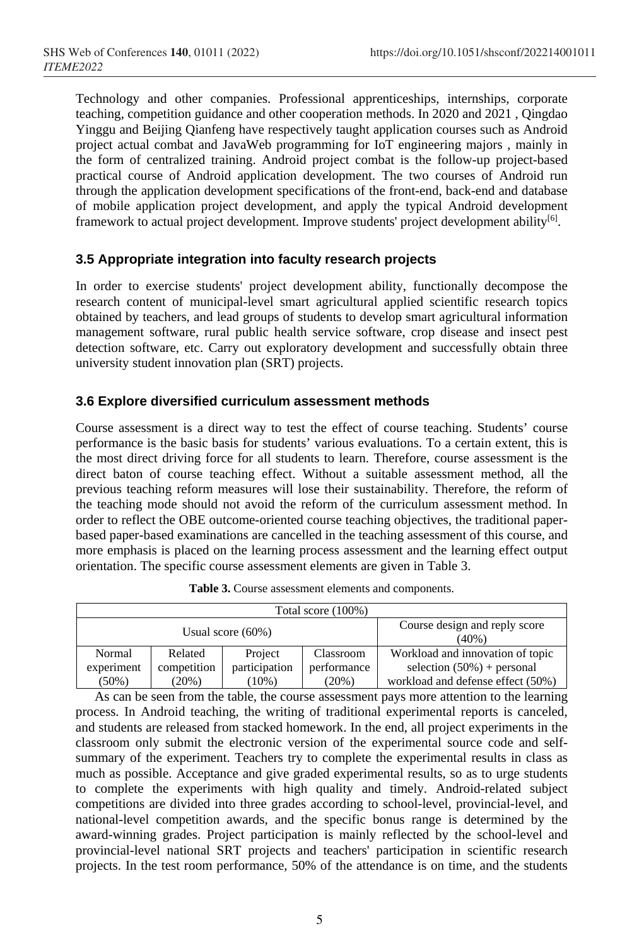Technology and other companies. Professional apprenticeships, internships, corporate teaching, competition guidance and other cooperation methods. In 2020 and 2021 , Qingdao Yinggu and Beijing Qianfeng have respectively taught application courses such as Android project actual combat and JavaWeb programming for IoT engineering majors , mainly in the form of centralized training. Android project combat is the follow-up project-based practical course of Android application development. The two courses of Android run through the application development specifications of the front-end, back-end and database of mobile application project development, and apply the typical Android development framework to actual project development. Improve students' project development ability<sup>[6]</sup>.

#### **3.5 Appropriate integration into faculty research projects**

In order to exercise students' project development ability, functionally decompose the research content of municipal-level smart agricultural applied scientific research topics obtained by teachers, and lead groups of students to develop smart agricultural information management software, rural public health service software, crop disease and insect pest detection software, etc. Carry out exploratory development and successfully obtain three university student innovation plan (SRT) projects.

#### **3.6 Explore diversified curriculum assessment methods**

Course assessment is a direct way to test the effect of course teaching. Students' course performance is the basic basis for students' various evaluations. To a certain extent, this is the most direct driving force for all students to learn. Therefore, course assessment is the direct baton of course teaching effect. Without a suitable assessment method, all the previous teaching reform measures will lose their sustainability. Therefore, the reform of the teaching mode should not avoid the reform of the curriculum assessment method. In order to reflect the OBE outcome-oriented course teaching objectives, the traditional paperbased paper-based examinations are cancelled in the teaching assessment of this course, and more emphasis is placed on the learning process assessment and the learning effect output orientation. The specific course assessment elements are given in Table 3.

| Total score (100%)   |             |               |                                        |                                   |  |
|----------------------|-------------|---------------|----------------------------------------|-----------------------------------|--|
| Usual score $(60\%)$ |             |               | Course design and reply score<br>(40%) |                                   |  |
| Normal               | Related     | Project       | Classroom                              | Workload and innovation of topic  |  |
| experiment           | competition | participation | performance                            | selection $(50\%)$ + personal     |  |
| $(50\%)$             | $(20\%)$    | $(10\%)$      | $(20\%)$                               | workload and defense effect (50%) |  |

**Table 3.** Course assessment elements and components.

As can be seen from the table, the course assessment pays more attention to the learning process. In Android teaching, the writing of traditional experimental reports is canceled, and students are released from stacked homework. In the end, all project experiments in the classroom only submit the electronic version of the experimental source code and selfsummary of the experiment. Teachers try to complete the experimental results in class as much as possible. Acceptance and give graded experimental results, so as to urge students to complete the experiments with high quality and timely. Android-related subject competitions are divided into three grades according to school-level, provincial-level, and national-level competition awards, and the specific bonus range is determined by the award-winning grades. Project participation is mainly reflected by the school-level and provincial-level national SRT projects and teachers' participation in scientific research projects. In the test room performance, 50% of the attendance is on time, and the students